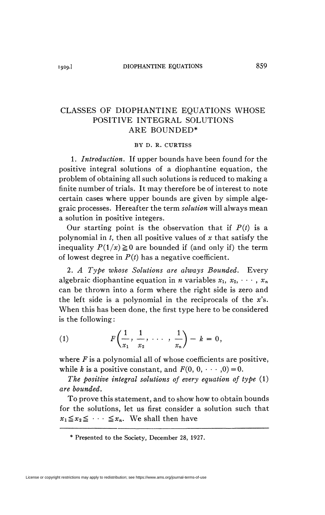## CLASSES OF DIOPHANTINE EQUATIONS WHOSE POSITIVE INTEGRAL SOLUTIONS ARE BOUNDED\*

### BY D. R. CURTISS

1. *Introduction.* If upper bounds have been found for the positive integral solutions of a diophantine equation, the problem of obtaining all such solutions is reduced to making a finite number of trials. It may therefore be of interest to note certain cases where upper bounds are given by simple algegraic processes. Hereafter the term *solution* will always mean a solution in positive integers.

Our starting point is the observation that if  $P(t)$  is a polynomial in  $t$ , then all positive values of  $x$  that satisfy the inequality  $P(1/x) \ge 0$  are bounded if (and only if) the term of lowest degree in  $P(t)$  has a negative coefficient.

*2. A Type whose Solutions are always Bounded.* Every algebraic diophantine equation in *n* variables  $x_1, x_2, \cdots, x_n$ can be thrown into a form where the right side is zero and the left side is a polynomial in the reciprocals of the *x's.*  When this has been done, the first type here to be considered is the following :

(1) 
$$
F\left(\frac{1}{x_1}, \frac{1}{x_2}, \cdots, \frac{1}{x_n}\right) - k = 0,
$$

where *F* is a polynomial all of whose coefficients are positive, while *k* is a positive constant, and  $F(0, 0, \dots, 0) = 0$ .

*The positive integral solutions of every equation of type* (1) *are bounded.* 

To prove this statement, and to show how to obtain bounds for the solutions, let us first consider a solution such that  $x_1 \le x_2 \le \cdots \le x_n$ . We shall then have

<sup>\*</sup> Presented to the Society, December 28, 1927.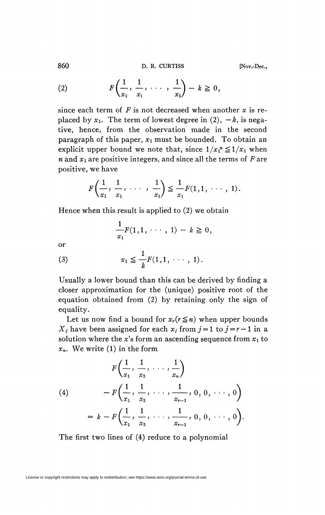860 **D. R. CURTISS [Nov.-Deo,** 

(2) 
$$
F\left(\frac{1}{x_1}, \frac{1}{x_1}, \cdots, \frac{1}{x_1}\right) - k \ge 0,
$$

since each term of *F* is not decreased when another *x* is replaced by  $x_1$ . The term of lowest degree in (2),  $-k$ , is negative, hence, from the observation made in the second paragraph of this paper,  $x_1$  must be bounded. To obtain an explicit upper bound we note that, since  $1/x_1^m \leq 1/x_1$  when *n* and *Xi are* positive integers, and since all the terms of *F* are positive, we have

$$
F\left(\frac{1}{x_1}, \frac{1}{x_1}, \cdots, \frac{1}{x_1}\right) \leq \frac{1}{x_1} F(1, 1, \cdots, 1).
$$

Hence when this result is applied to (2) we obtain

$$
\frac{1}{x_1}F(1,1,\cdots,1)-k\geqq 0,
$$

<sub>or</sub>

(3) 
$$
x_1 \leq \frac{1}{k} F(1, 1, \cdots, 1).
$$

Usually a lower bound than this can be derived by finding a closer approximation for the (unique) positive root of the equation obtained from (2) by retaining only the sign of equality.

Let us now find a bound for  $x_r(r \leq n)$  when upper bounds *X<sub>i</sub>*-have been assigned for each  $x_j$  from  $j = 1$  to  $j = r - 1$  in a solution where the  $x$ 's form an ascending sequence from  $x_1$  to *xn.* We write (1) in the form

(4)  
\n
$$
F\left(\frac{1}{x_1}, \frac{1}{x_2}, \dots, \frac{1}{x_n}\right)
$$
\n
$$
-F\left(\frac{1}{x_1}, \frac{1}{x_2}, \dots, \frac{1}{x_{r-1}}, 0, 0, \dots, 0\right)
$$
\n
$$
= k - F\left(\frac{1}{x_1}, \frac{1}{x_2}, \dots, \frac{1}{x_{r-1}}, 0, 0, \dots, 0\right).
$$

The first two lines of (4) reduce to a polynomial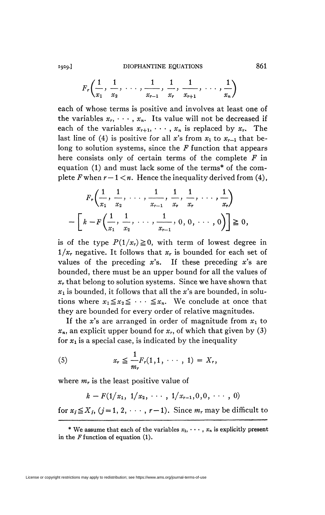### **I929.** DIOPHANTINE EQUATIONS 861

$$
F_r\left(\frac{1}{x_1}, \frac{1}{x_2}, \ldots, \frac{1}{x_{r-1}}, \frac{1}{x_r}, \frac{1}{x_{r+1}}, \ldots, \frac{1}{x_n}\right)
$$

each of whose terms is positive and involves at least one of the variables  $x_r$ ,  $\cdots$ ,  $x_n$ . Its value will not be decreased if each of the variables  $x_{r+1}, \dots, x_n$  is replaced by  $x_r$ . The last line of (4) is positive for all x's from  $x_1$  to  $x_{r-1}$  that belong to solution systems, since the *F* function that appears here consists only of certain terms of the complete *F* in equation (1) and must lack some of the terms\* of the complete *F* when  $r - 1 < n$ . Hence the inequality derived from (4),

$$
F_r\left(\frac{1}{x_1}, \frac{1}{x_2}, \dots, \frac{1}{x_{r-1}}, \frac{1}{x_r}, \frac{1}{x_r}, \dots, \frac{1}{x_r}\right)
$$

$$
-\left[k - F\left(\frac{1}{x_1}, \frac{1}{x_2}, \dots, \frac{1}{x_{r-1}}, 0, 0, \dots, 0\right)\right] \ge 0,
$$

is of the type  $P(1/x_r) \ge 0$ , with term of lowest degree in *1/xr* negative. It follows that *x<sup>r</sup>* is bounded for each set of values of the preceding *x's.* If these preceding *x's* are bounded, there must be an upper bound for all the values of *xr* that belong to solution systems. Since we have shown that  $x_1$  is bounded, it follows that all the  $x$ 's are bounded, in solutions where  $x_1 \le x_2 \le \cdots \le x_n$ . We conclude at once that they are bounded for every order of relative magnitudes.

If the x's are arranged in order of magnitude from  $x_1$  to *xn,* an explicit upper bound for *x<sup>r</sup> ,* of which that given by (3) for  $x_1$  is a special case, is indicated by the inequality

(5) 
$$
x_r \leq \frac{1}{m_r} F_r(1,1,\cdots,1) = X_r,
$$

where  $m_r$  is the least positive value of is the least positive value of

$$
k-F(1/x_1, 1/x_2, \cdots, 1/x_{r-1}, 0, 0, \cdots, 0)
$$

for  $x_j \ge x_j$ ,  $(j = 1, 2, \dots, r-1)$ , Since  $m_r$  may be difficult to

License or copyright restrictions may apply to redistribution; see https://www.ams.org/journal-terms-of-use

<sup>\*</sup> We assume that each of the variables  $x_1, \dots, x_n$  is explicitly present in the *F* function of equation (1).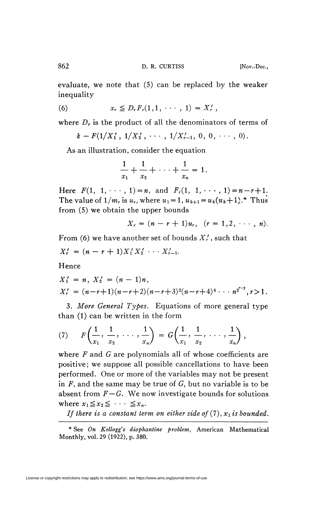evaluate, we note that (5) can be replaced by the weaker inequality

(6) 
$$
x_r \leq D_r F_r(1,1,\cdots,1) = X'_r
$$
,

where *D<sup>r</sup>* is the product of all the denominators of terms of

$$
k-F(1/X'_1, 1/X'_2, \cdots, 1/X'_{r-1}, 0, 0, \cdots, 0).
$$

As an illustration, consider the equation

$$
\frac{1}{x_1} + \frac{1}{x_2} + \cdots + \frac{1}{x_n} = 1.
$$

Here  $F(1, 1, \cdots, 1) = n$ , and  $F_r(1, 1, \cdots, 1) = n - r + 1$ . The value of  $1/m_r$  is  $u_r$ , where  $u_1 = 1$ ,  $u_{k+1} = u_k(u_k+1)$ .\* Thus from (5) we obtain the upper bounds

$$
X_r = (n - r + 1)u_r, \ \ (r = 1, 2, \ \cdots, \ n).
$$

From (6) we have another set of bounds  $X'_r$ , such that

$$
X'_r = (n - r + 1)X'_1X'_2 \cdots X'_{r-1}.
$$

Hence

$$
X'_1 = n, X'_2 = (n - 1)n,
$$
  
\n
$$
X'_r = (n - r + 1)(n - r + 2)(n - r + 3)^2(n - r + 4)^4 \cdots n^{2^{r-2}}, r > 1.
$$

3. More General Types. Equations of more general type than (1) can be written in the form

(7) 
$$
F\left(\frac{1}{x_1}, \frac{1}{x_2}, \cdots, \frac{1}{x_n}\right) = G\left(\frac{1}{x_1}, \frac{1}{x_2}, \cdots, \frac{1}{x_n}\right),
$$

where *F* and *G* are polynomials all of whose coefficients are positive; we suppose all possible cancellations to have been performed. One or more of the variables may not be present in *F,* and the same may be true of *G,* but no variable is to be absent from  $F - G$ . We now investigate bounds for solutions where  $x_1 \le x_2 \le \cdots \le x_n$ .

*If there is a constant term on either side of*  $(7)$ ,  $x_1$  *is bounded.* 

<sup>\*</sup> See *On Kellogg's diophantine problem,* American Mathematical Monthly, vol. 29 (1922), p. 380.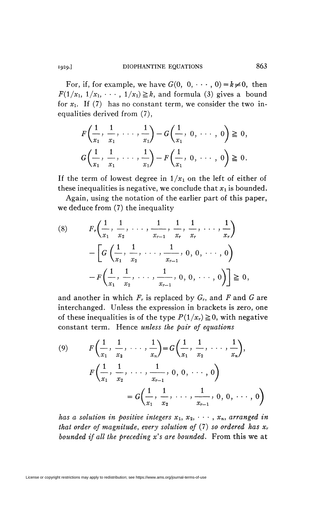For, if, for example, we have  $G(0, 0, \dots, 0) = k \neq 0$ , then  $F(1/x_1, 1/x_1, \cdots, 1/x_1) \geq k$ , and formula (3) gives a bound for  $x_1$ . If (7) has no constant term, we consider the two inequalities derived from (7),

$$
F\left(\frac{1}{x_1}, \frac{1}{x_1}, \dots, \frac{1}{x_1}\right) - G\left(\frac{1}{x_1}, 0, \dots, 0\right) \ge 0,
$$
  

$$
G\left(\frac{1}{x_1}, \frac{1}{x_1}, \dots, \frac{1}{x_1}\right) - F\left(\frac{1}{x_1}, 0, \dots, 0\right) \ge 0.
$$

If the term of lowest degree in  $1/x_1$  on the left of either of these inequalities is negative, we conclude that  $x_1$  is bounded.

Again, using the notation of the earlier part of this paper, we deduce from (7) the inequality

$$
(8) \qquad F_r\left(\frac{1}{x_1}, \frac{1}{x_2}, \dots, \frac{1}{x_{r-1}}, \frac{1}{x_r}, \frac{1}{x_r}, \dots, \frac{1}{x_r}\right) \\ -\left[G\left(\frac{1}{x_1}, \frac{1}{x_2}, \dots, \frac{1}{x_{r-1}}, 0, 0, \dots, 0\right) \\ -F\left(\frac{1}{x_1}, \frac{1}{x_2}, \dots, \frac{1}{x_{r-1}}, 0, 0, \dots, 0\right)\right] \geq 0,
$$

and another in which *F<sup>r</sup>* is replaced by G<sup>r</sup> , and *F* and *G* are interchanged. Unless the expression in brackets is zero, one of these inequalities is of the type  $P(1/x_r) \ge 0$ , with negative constant term. Hence *unless the pair of equations* 

(9) 
$$
F\left(\frac{1}{x_1}, \frac{1}{x_2}, \dots, \frac{1}{x_n}\right) = G\left(\frac{1}{x_1}, \frac{1}{x_2}, \dots, \frac{1}{x_n}\right),
$$

$$
F\left(\frac{1}{x_1}, \frac{1}{x_2}, \dots, \frac{1}{x_{r-1}}, 0, 0, \dots, 0\right)
$$

$$
= G\left(\frac{1}{x_1}, \frac{1}{x_2}, \dots, \frac{1}{x_{r-1}}, 0, 0, \dots, 0\right)
$$

*has a solution in positive integers*  $x_1, x_2, \cdots, x_n$ , arranged in *that order of magnitude, every solution of* (7) *so ordered has x<sup>r</sup> bounded if all the preceding x's are bounded.* From this we at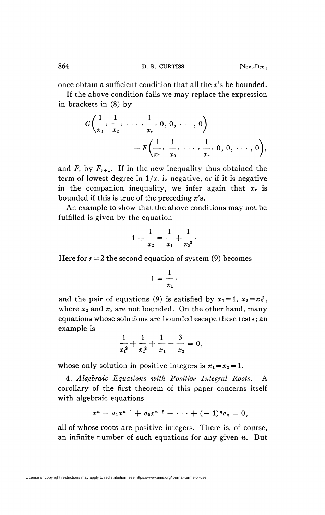once obtain a sufficient condition that all the *x's* be bounded.

If the above condition fails we may replace the expression in brackets in (8) by

$$
G\left(\frac{1}{x_1}, \frac{1}{x_2}, \ldots, \frac{1}{x_r}, 0, 0, \ldots, 0\right) - F\left(\frac{1}{x_1}, \frac{1}{x_2}, \ldots, \frac{1}{x_r}, 0, 0, \ldots, 0\right),
$$

and  $F_r$  by  $F_{r+1}$ . If in the new inequality thus obtained the term of lowest degree in  $1/x_r$  is negative, or if it is negative in the companion inequality, we infer again that *x<sup>r</sup>* is bounded if this is true of the preceding *x's.* 

An example to show that the above conditions may not be fulfilled is given by the equation

$$
1+\frac{1}{x_2}=\frac{1}{x_1}+\frac{1}{x_3^2}.
$$

Here for  $r = 2$  the second equation of system (9) becomes

$$
1=\frac{1}{x_1},
$$

and the pair of equations (9) is satisfied by  $x_1 = 1$ ,  $x_2 = x_3^2$ , where  $x_2$  and  $x_3$  are not bounded. On the other hand, many equations whose solutions are bounded escape these tests ; an example is

$$
\frac{1}{x_1^2} + \frac{1}{x_2^2} + \frac{1}{x_1} - \frac{3}{x_2} = 0,
$$

whose only solution in positive integers is  $x_1 = x_2 = 1$ .

4. *Algebraic Equations with Positive Integral Roots.* A corollary of the first theorem of this paper concerns itself with algebraic equations

$$
x^{n}-a_{1}x^{n-1}+a_{2}x^{n-2}-\cdots+(-1)^{n}a_{n}=0,
$$

all of whose roots are positive integers. There is, of course, an infinite number of such equations for any given *n.* But